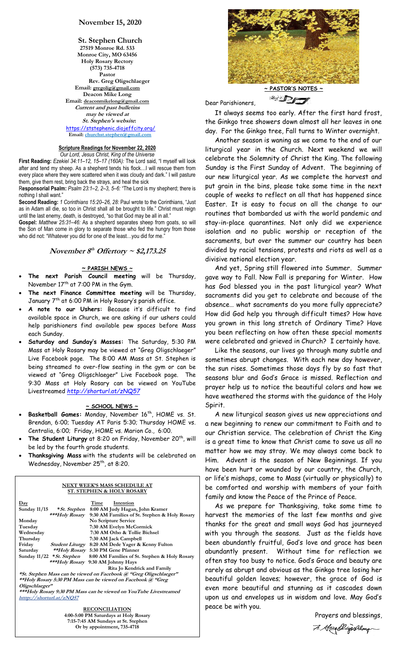## **November 15, 2020**

**St. Stephen Church 27519 Monroe Rd. 533 Monroe City, MO 63456 Holy Rosary Rectory (573) 735-4718 Pastor Rev. Greg Oligschlaeger Email: gregolig@gmail.com Deacon Mike Long Email: deaconmikelong@gmail.com Current and past bulletins may be viewed at St. Stephen's website:** <https://ststephenic.diojeffcity.org/>  **Email: [churchst.stephen@gmail.com](mailto:churchst.stephen@gmail.com)**

# **Scripture Readings for November 22, 2020**

*Our Lord, Jesus Christ, King of the Universe* **First Reading:** *Ezekiel 34:11–12, 15–17 (160A):* The Lord said, "I myself will look after and tend my sheep. As a shepherd tends his flock…I will rescue them from every place where they were scattered when it was cloudy and dark." I will pasture them, give them rest, bring back the strays, and heal the sick

R**esponsorial Psalm:** *Psalm 23:1–2, 2–3, 5–6:* "The Lord is my shepherd; there is nothing I shall want.'

**Second Reading:** *1 Corinthians 15:20–26, 28:* Paul wrote to the Corinthians, "Just as in Adam all die, so too in Christ shall all be brought to life." Christ must reign until the last enemy, death, is destroyed, "so that God may be all in all."

**Gospel:** *Matthew 25:31–46:* As a shepherd separates sheep from goats, so will the Son of Man come in glory to separate those who fed the hungry from those who did not: "Whatever you did for one of the least...you did for me.

### November  $8^{\text{th}}$  Offertory  $\sim$  \$2,173.25

### **~ PARISH NEWS ~**

- **The next Parish Council meeting** will be Thursday, November 17<sup>th</sup> at 7:00 PM in the Gym.
- **The next Finance Committee meeting** will be Thursday, January 7th at 6:00 PM in Holy Rosary's parish office.
- **A note to our Ushers:** Because it's difficult to find available space in Church, we are asking if our ushers could help parishioners find available pew spaces before Mass each Sunday.
- **Saturday and Sunday's Masses:** The Saturday, 5:30 PM Mass at Holy Rosary may be viewed at "Greg Oligschlaeger" Live Facebook page. The 8:00 AM Mass at St. Stephen is being streamed to over-flow seating in the gym or can be viewed at "Greg Oligschlaeger" Live Facebook page. The 9:30 Mass at Holy Rosary can be viewed on YouTube Livestreamed *<http://shorturl.at/zNQ57>*

### **~ SCHOOL NEWS ~**

- Basketball Games: Monday, November 16<sup>th</sup>, HOME vs. St. Brendan, 6:00; Tuesday AT Paris 5:30; Thursday HOME vs. Centralia, 6:00; Friday, HOME vs. Marion Co., 6:00.
- The Student Liturgy at 8:20 on Friday, November 20<sup>th</sup>, will be led by the fourth grade students.
- **Thanksgiving Mass** with the students will be celebrated on Wednesday, November 25<sup>th</sup>, at 8:20.

#### **NEXT WEEK'S MASS SCHEDULE AT ST. STEPHEN & HOLY ROSARY**

| $\mathbf{Day}$                                                     |                              | Intention<br>Time                             |  |  |
|--------------------------------------------------------------------|------------------------------|-----------------------------------------------|--|--|
| <b>Sunday 11/15</b>                                                | *St. Stephen                 | 8:00 AM Judy Hagan, John Kramer               |  |  |
|                                                                    | ***Holy Rosary               | 9:30 AM Families of St. Stephen & Holy Rosary |  |  |
| Monday                                                             |                              | <b>No Scripture Service</b>                   |  |  |
| Tuesday                                                            |                              | 7:30 AM Evelyn McCormick                      |  |  |
| Wednesday                                                          |                              | 7:30 AM Otho & Tollie Bichsel                 |  |  |
| Thursday                                                           |                              | 7:30 AM Jack Campbell                         |  |  |
| Friday                                                             | <b>Student Liturgy</b>       | 8:20 AM Dede Yager & Kenny Fulton             |  |  |
| Saturday                                                           |                              | **Holy Rosary 5:30 PM Gene Pfanner            |  |  |
|                                                                    | Sunday $11/22$ * St. Stephen | 8:00 AM Families of St. Stephen & Holy Rosary |  |  |
|                                                                    |                              | *** <i>Holy Rosary</i> 9:30 AM Johnny Hays    |  |  |
|                                                                    |                              | Rita Jo Kendrick and Family                   |  |  |
| *St. Stephen Mass can be viewed on Facebook @ "Greg Oligschlaeger" |                              |                                               |  |  |
| **Holy Rosary 5:30 PM Mass can be viewed on Facebook @ "Greg       |                              |                                               |  |  |
| Oligschlaeger"                                                     |                              |                                               |  |  |
| ***Holy Rosary 9:30 PM Mass can be viewed on YouTube Livestreamed  |                              |                                               |  |  |
| htttp://shorturl.at/zNO57                                          |                              |                                               |  |  |

**RECONCILIATION 4:00-5:00 PM Saturdays at Holy Rosary 7:15-7:45 AM Sundays at St. Stephen Or by appointment, 735-4718**



**~ PASTOR'S NOTES ~ BELLES** 

Dear Parishioners,

 It always seems too early. After the first hard frost, the Ginkgo tree showers down almost all her leaves in one day. For the Ginkgo tree, Fall turns to Winter overnight.

 Another season is waning as we come to the end of our liturgical year in the Church. Next weekend we will celebrate the Solemnity of Christ the King. The following Sunday is the First Sunday of Advent. The beginning of our new liturgical year. As we complete the harvest and put grain in the bins, please take some time in the next couple of weeks to reflect on all that has happened since Easter. It is easy to focus on all the change to our routines that bombarded us with the world pandemic and stay-in-place quarantines. Not only did we experience isolation and no public worship or reception of the sacraments, but over the summer our country has been divided by racial tensions, protests and riots as well as a divisive national election year.

 And yet, Spring still flowered into Summer. Summer gave way to Fall. Now Fall is preparing for Winter. How has God blessed you in the past liturgical year? What sacraments did you get to celebrate and because of the absence… what sacraments do you more fully appreciate? How did God help you through difficult times? How have you grown in this long stretch of Ordinary Time? Have you been reflecting on how often these special moments were celebrated and grieved in Church? I certainly have.

 Like the seasons, our lives go through many subtle and sometimes abrupt changes. With each new day however, the sun rises. Sometimes those days fly by so fast that seasons blur and God's Grace is missed. Reflection and prayer help us to notice the beautiful colors and how we have weathered the storms with the guidance of the Holy Spirit.

 A new liturgical season gives us new appreciations and a new beginning to renew our commitment to Faith and to our Christian service. The celebration of Christ the King is a great time to know that Christ came to save us all no matter how we may stray. We may always come back to Him. Advent is the season of New Beginnings. If you have been hurt or wounded by our country, the Church, or life's mishaps, come to Mass (virtually or physically) to be comforted and worship with members of your faith family and know the Peace of the Prince of Peace.

 As we prepare for Thanksgiving, take some time to harvest the memories of the last few months and give thanks for the great and small ways God has journeyed with you through the seasons. Just as the fields have been abundantly fruitful, God's love and grace has been abundantly present. Without time for reflection we often stay too busy to notice. God's Grace and beauty are rarely as abrupt and obvious as the Ginkgo tree losing her beautiful golden leaves; however, the grace of God is even more beautiful and stunning as it cascades down upon us and envelopes us in wisdom and love. May God's peace be with you.

Prayers and blessings,

7. Greatlyschlaug